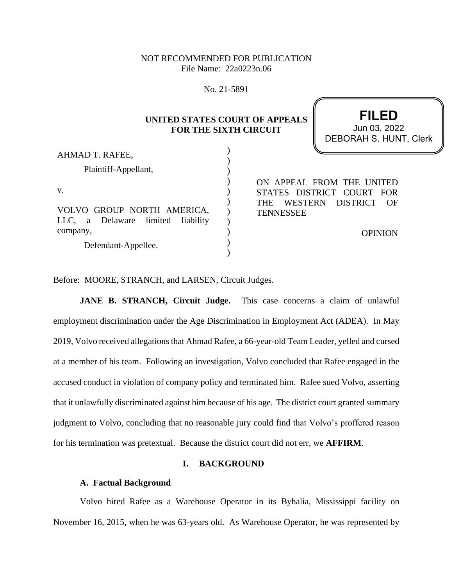## NOT RECOMMENDED FOR PUBLICATION File Name: 22a0223n.06

No. 21-5891

# **UNITED STATES COURT OF APPEALS FOR THE SIXTH CIRCUIT**

|                                                                                |                                | <b>DEBORAH S. HUNT, Clerk</b>                                                         |
|--------------------------------------------------------------------------------|--------------------------------|---------------------------------------------------------------------------------------|
| AHMAD T. RAFEE,<br>Plaintiff-Appellant,                                        |                                |                                                                                       |
| V.<br>VOLVO GROUP NORTH AMERICA,<br>limited<br>liability<br>a Delaware<br>LLC, | <b>THE</b><br><b>TENNESSEE</b> | ON APPEAL FROM THE UNITED<br>STATES DISTRICT COURT FOR<br>DISTRICT<br>WESTERN<br>– OF |
| company,<br>Defendant-Appellee.                                                |                                | <b>OPINION</b>                                                                        |

**FILED**

 $\frac{1}{03}$ , 2022

Before: MOORE, STRANCH, and LARSEN, Circuit Judges.

**JANE B. STRANCH, Circuit Judge.** This case concerns a claim of unlawful employment discrimination under the Age Discrimination in Employment Act (ADEA). In May 2019, Volvo received allegations that Ahmad Rafee, a 66-year-old Team Leader, yelled and cursed at a member of his team. Following an investigation, Volvo concluded that Rafee engaged in the accused conduct in violation of company policy and terminated him. Rafee sued Volvo, asserting that it unlawfully discriminated against him because of his age. The district court granted summary judgment to Volvo, concluding that no reasonable jury could find that Volvo's proffered reason for his termination was pretextual. Because the district court did not err, we **AFFIRM**.

## **I. BACKGROUND**

#### **A. Factual Background**

Volvo hired Rafee as a Warehouse Operator in its Byhalia, Mississippi facility on November 16, 2015, when he was 63-years old.As Warehouse Operator, he was represented by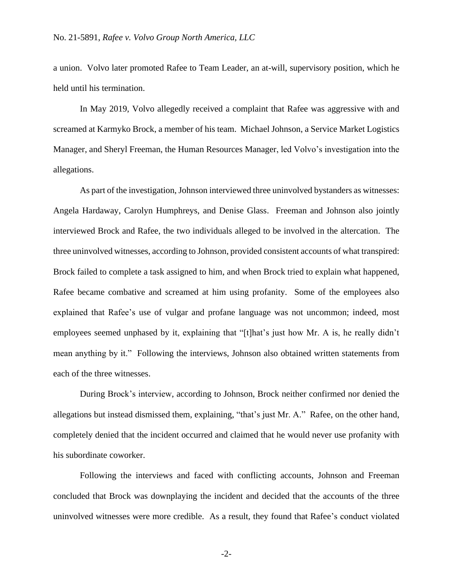a union. Volvo later promoted Rafee to Team Leader, an at-will, supervisory position, which he held until his termination.

In May 2019, Volvo allegedly received a complaint that Rafee was aggressive with and screamed at Karmyko Brock, a member of his team. Michael Johnson, a Service Market Logistics Manager, and Sheryl Freeman, the Human Resources Manager, led Volvo's investigation into the allegations.

As part of the investigation, Johnson interviewed three uninvolved bystanders as witnesses: Angela Hardaway, Carolyn Humphreys, and Denise Glass. Freeman and Johnson also jointly interviewed Brock and Rafee, the two individuals alleged to be involved in the altercation. The three uninvolved witnesses, according to Johnson, provided consistent accounts of what transpired: Brock failed to complete a task assigned to him, and when Brock tried to explain what happened, Rafee became combative and screamed at him using profanity. Some of the employees also explained that Rafee's use of vulgar and profane language was not uncommon; indeed, most employees seemed unphased by it, explaining that "[t]hat's just how Mr. A is, he really didn't mean anything by it." Following the interviews, Johnson also obtained written statements from each of the three witnesses.

During Brock's interview, according to Johnson, Brock neither confirmed nor denied the allegations but instead dismissed them, explaining, "that's just Mr. A." Rafee, on the other hand, completely denied that the incident occurred and claimed that he would never use profanity with his subordinate coworker.

Following the interviews and faced with conflicting accounts, Johnson and Freeman concluded that Brock was downplaying the incident and decided that the accounts of the three uninvolved witnesses were more credible. As a result, they found that Rafee's conduct violated

-2-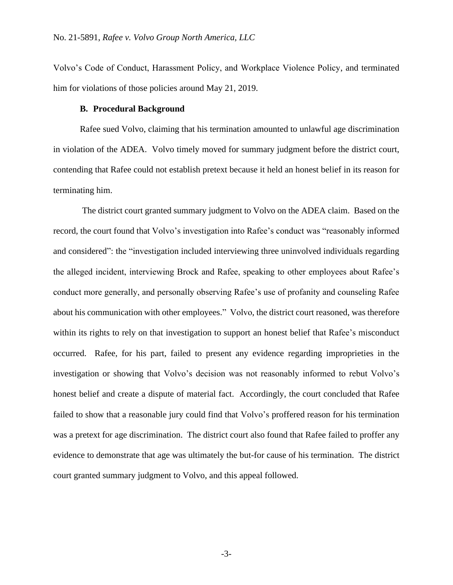Volvo's Code of Conduct, Harassment Policy, and Workplace Violence Policy, and terminated him for violations of those policies around May 21, 2019.

#### **B. Procedural Background**

Rafee sued Volvo, claiming that his termination amounted to unlawful age discrimination in violation of the ADEA. Volvo timely moved for summary judgment before the district court, contending that Rafee could not establish pretext because it held an honest belief in its reason for terminating him.

The district court granted summary judgment to Volvo on the ADEA claim. Based on the record, the court found that Volvo's investigation into Rafee's conduct was "reasonably informed and considered": the "investigation included interviewing three uninvolved individuals regarding the alleged incident, interviewing Brock and Rafee, speaking to other employees about Rafee's conduct more generally, and personally observing Rafee's use of profanity and counseling Rafee about his communication with other employees." Volvo, the district court reasoned, was therefore within its rights to rely on that investigation to support an honest belief that Rafee's misconduct occurred. Rafee, for his part, failed to present any evidence regarding improprieties in the investigation or showing that Volvo's decision was not reasonably informed to rebut Volvo's honest belief and create a dispute of material fact. Accordingly, the court concluded that Rafee failed to show that a reasonable jury could find that Volvo's proffered reason for his termination was a pretext for age discrimination. The district court also found that Rafee failed to proffer any evidence to demonstrate that age was ultimately the but-for cause of his termination. The district court granted summary judgment to Volvo, and this appeal followed.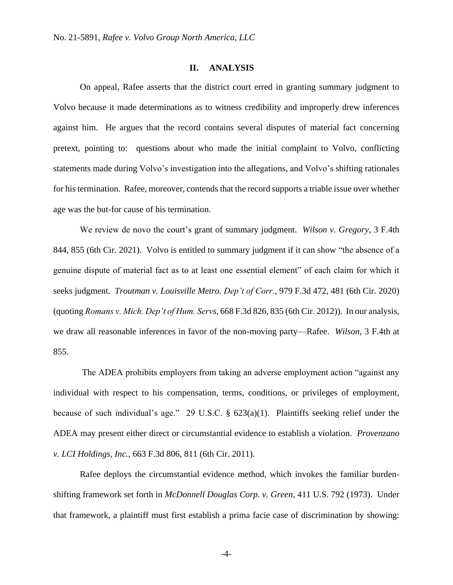#### **II. ANALYSIS**

On appeal, Rafee asserts that the district court erred in granting summary judgment to Volvo because it made determinations as to witness credibility and improperly drew inferences against him. He argues that the record contains several disputes of material fact concerning pretext, pointing to: questions about who made the initial complaint to Volvo, conflicting statements made during Volvo's investigation into the allegations, and Volvo's shifting rationales for his termination. Rafee, moreover, contends that the record supports a triable issue over whether age was the but-for cause of his termination.

We review de novo the court's grant of summary judgment. *Wilson v. Gregory*, 3 F.4th 844, 855 (6th Cir. 2021). Volvo is entitled to summary judgment if it can show "the absence of a genuine dispute of material fact as to at least one essential element" of each claim for which it seeks judgment. *Troutman v. Louisville Metro. Dep't of Corr.*, 979 F.3d 472, 481 (6th Cir. 2020) (quoting *Romans v. Mich. Dep't of Hum. Servs*, 668 F.3d 826, 835 (6th Cir. 2012)). In our analysis, we draw all reasonable inferences in favor of the non-moving party—Rafee. *Wilson*, 3 F.4th at 855.

The ADEA prohibits employers from taking an adverse employment action "against any individual with respect to his compensation, terms, conditions, or privileges of employment, because of such individual's age." 29 U.S.C. § 623(a)(1). Plaintiffs seeking relief under the ADEA may present either direct or circumstantial evidence to establish a violation. *Provenzano v. LCI Holdings, Inc.*, 663 F.3d 806, 811 (6th Cir. 2011).

Rafee deploys the circumstantial evidence method, which invokes the familiar burdenshifting framework set forth in *McDonnell Douglas Corp. v. Green*, 411 U.S. 792 (1973). Under that framework, a plaintiff must first establish a prima facie case of discrimination by showing: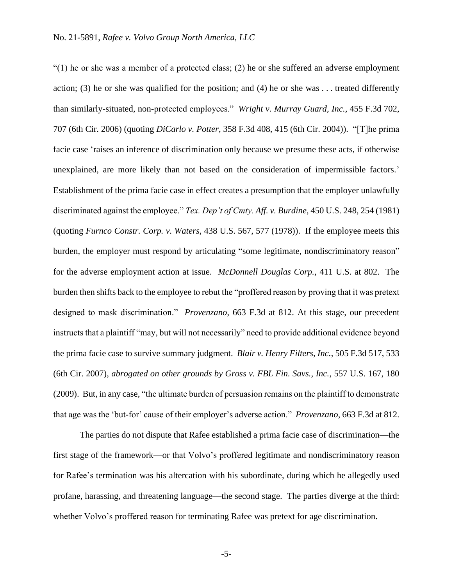$(1)$  he or she was a member of a protected class; (2) he or she suffered an adverse employment action; (3) he or she was qualified for the position; and (4) he or she was  $\dots$  treated differently than similarly-situated, non-protected employees." *Wright v. Murray Guard, Inc.,* 455 F.3d 702, 707 (6th Cir. 2006) (quoting *DiCarlo v. Potter*, 358 F.3d 408, 415 (6th Cir. 2004)). "[T]he prima facie case 'raises an inference of discrimination only because we presume these acts, if otherwise unexplained, are more likely than not based on the consideration of impermissible factors.' Establishment of the prima facie case in effect creates a presumption that the employer unlawfully discriminated against the employee." *Tex. Dep't of Cmty. Aff. v. Burdine*, 450 U.S. 248, 254 (1981) (quoting *Furnco Constr. Corp. v. Waters*, 438 U.S. 567, 577 (1978)). If the employee meets this burden, the employer must respond by articulating "some legitimate, nondiscriminatory reason" for the adverse employment action at issue. *McDonnell Douglas Corp.*, 411 U.S. at 802. The burden then shifts back to the employee to rebut the "proffered reason by proving that it was pretext designed to mask discrimination." *Provenzano*, 663 F.3d at 812. At this stage, our precedent instructs that a plaintiff "may, but will not necessarily" need to provide additional evidence beyond the prima facie case to survive summary judgment. *Blair v. Henry Filters, Inc.*, 505 F.3d 517, 533 (6th Cir. 2007), *abrogated on other grounds by Gross v. FBL Fin. Savs., Inc.*, 557 U.S. 167, 180 (2009). But, in any case, "the ultimate burden of persuasion remains on the plaintiff to demonstrate that age was the 'but-for' cause of their employer's adverse action." *Provenzano*, 663 F.3d at 812.

The parties do not dispute that Rafee established a prima facie case of discrimination—the first stage of the framework—or that Volvo's proffered legitimate and nondiscriminatory reason for Rafee's termination was his altercation with his subordinate, during which he allegedly used profane, harassing, and threatening language—the second stage. The parties diverge at the third: whether Volvo's proffered reason for terminating Rafee was pretext for age discrimination.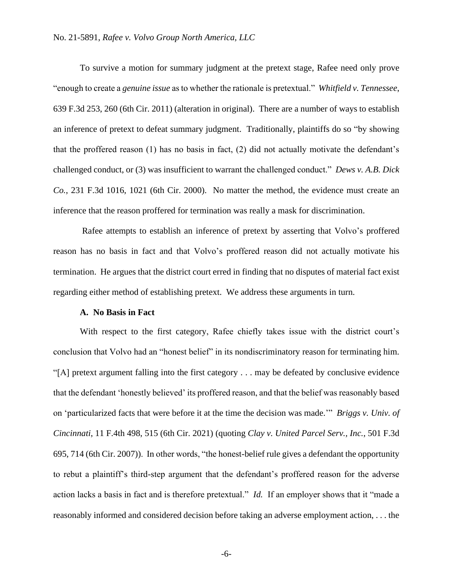To survive a motion for summary judgment at the pretext stage, Rafee need only prove "enough to create a *genuine issue* as to whether the rationale is pretextual." *Whitfield v. Tennessee*, 639 F.3d 253, 260 (6th Cir. 2011) (alteration in original). There are a number of ways to establish an inference of pretext to defeat summary judgment. Traditionally, plaintiffs do so "by showing that the proffered reason (1) has no basis in fact, (2) did not actually motivate the defendant's challenged conduct, or (3) was insufficient to warrant the challenged conduct." *Dews v. A.B. Dick Co.*, 231 F.3d 1016, 1021 (6th Cir. 2000). No matter the method, the evidence must create an inference that the reason proffered for termination was really a mask for discrimination.

Rafee attempts to establish an inference of pretext by asserting that Volvo's proffered reason has no basis in fact and that Volvo's proffered reason did not actually motivate his termination. He argues that the district court erred in finding that no disputes of material fact exist regarding either method of establishing pretext. We address these arguments in turn.

#### **A. No Basis in Fact**

With respect to the first category, Rafee chiefly takes issue with the district court's conclusion that Volvo had an "honest belief" in its nondiscriminatory reason for terminating him. "[A] pretext argument falling into the first category . . . may be defeated by conclusive evidence that the defendant 'honestly believed' its proffered reason, and that the belief was reasonably based on 'particularized facts that were before it at the time the decision was made.'" *Briggs v. Univ. of Cincinnati*, 11 F.4th 498, 515 (6th Cir. 2021) (quoting *Clay v. United Parcel Serv., Inc.*, 501 F.3d 695, 714 (6th Cir. 2007)). In other words, "the honest-belief rule gives a defendant the opportunity to rebut a plaintiff's third-step argument that the defendant's proffered reason for the adverse action lacks a basis in fact and is therefore pretextual." *Id.* If an employer shows that it "made a reasonably informed and considered decision before taking an adverse employment action, . . . the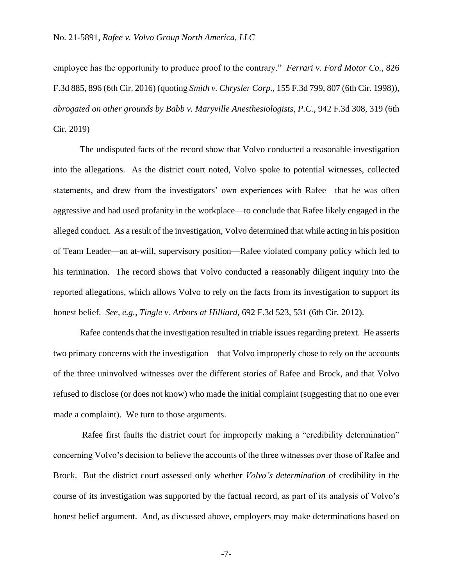employee has the opportunity to produce proof to the contrary." *Ferrari v. Ford Motor Co.*, 826 F.3d 885, 896 (6th Cir. 2016) (quoting *Smith v. Chrysler Corp.*, 155 F.3d 799, 807 (6th Cir. 1998)), *abrogated on other grounds by Babb v. Maryville Anesthesiologists, P.C.*, 942 F.3d 308, 319 (6th Cir. 2019)

The undisputed facts of the record show that Volvo conducted a reasonable investigation into the allegations. As the district court noted, Volvo spoke to potential witnesses, collected statements, and drew from the investigators' own experiences with Rafee—that he was often aggressive and had used profanity in the workplace—to conclude that Rafee likely engaged in the alleged conduct. As a result of the investigation, Volvo determined that while acting in his position of Team Leader—an at-will, supervisory position—Rafee violated company policy which led to his termination. The record shows that Volvo conducted a reasonably diligent inquiry into the reported allegations, which allows Volvo to rely on the facts from its investigation to support its honest belief. *See, e.g.*, *Tingle v. Arbors at Hilliard*, 692 F.3d 523, 531 (6th Cir. 2012).

Rafee contends that the investigation resulted in triable issues regarding pretext. He asserts two primary concerns with the investigation—that Volvo improperly chose to rely on the accounts of the three uninvolved witnesses over the different stories of Rafee and Brock, and that Volvo refused to disclose (or does not know) who made the initial complaint (suggesting that no one ever made a complaint). We turn to those arguments.

Rafee first faults the district court for improperly making a "credibility determination" concerning Volvo's decision to believe the accounts of the three witnesses over those of Rafee and Brock. But the district court assessed only whether *Volvo's determination* of credibility in the course of its investigation was supported by the factual record, as part of its analysis of Volvo's honest belief argument. And, as discussed above, employers may make determinations based on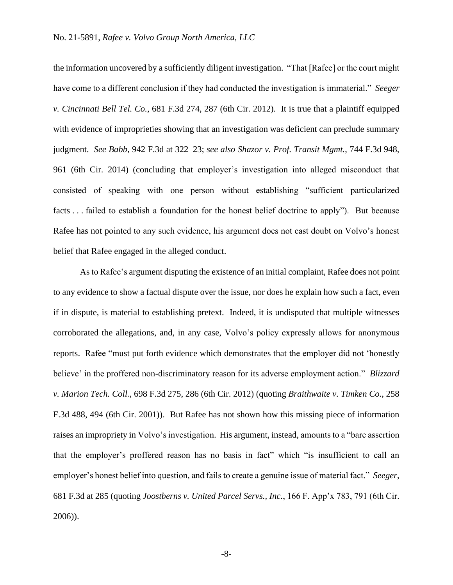the information uncovered by a sufficiently diligent investigation. "That [Rafee] or the court might have come to a different conclusion if they had conducted the investigation is immaterial." *Seeger v. Cincinnati Bell Tel. Co.*, 681 F.3d 274, 287 (6th Cir. 2012). It is true that a plaintiff equipped with evidence of improprieties showing that an investigation was deficient can preclude summary judgment. *See Babb*, 942 F.3d at 322–23; *see also Shazor v. Prof. Transit Mgmt.*, 744 F.3d 948, 961 (6th Cir. 2014) (concluding that employer's investigation into alleged misconduct that consisted of speaking with one person without establishing "sufficient particularized facts . . . failed to establish a foundation for the honest belief doctrine to apply"). But because Rafee has not pointed to any such evidence, his argument does not cast doubt on Volvo's honest belief that Rafee engaged in the alleged conduct.

As to Rafee's argument disputing the existence of an initial complaint, Rafee does not point to any evidence to show a factual dispute over the issue, nor does he explain how such a fact, even if in dispute, is material to establishing pretext. Indeed, it is undisputed that multiple witnesses corroborated the allegations, and, in any case, Volvo's policy expressly allows for anonymous reports. Rafee "must put forth evidence which demonstrates that the employer did not 'honestly believe' in the proffered non-discriminatory reason for its adverse employment action." *Blizzard v. Marion Tech. Coll.*, 698 F.3d 275, 286 (6th Cir. 2012) (quoting *Braithwaite v. Timken Co.*, 258 F.3d 488, 494 (6th Cir. 2001)). But Rafee has not shown how this missing piece of information raises an impropriety in Volvo's investigation. His argument, instead, amounts to a "bare assertion that the employer's proffered reason has no basis in fact" which "is insufficient to call an employer's honest belief into question, and fails to create a genuine issue of material fact." *Seeger*, 681 F.3d at 285 (quoting *Joostberns v. United Parcel Servs., Inc.*, 166 F. App'x 783, 791 (6th Cir. 2006)).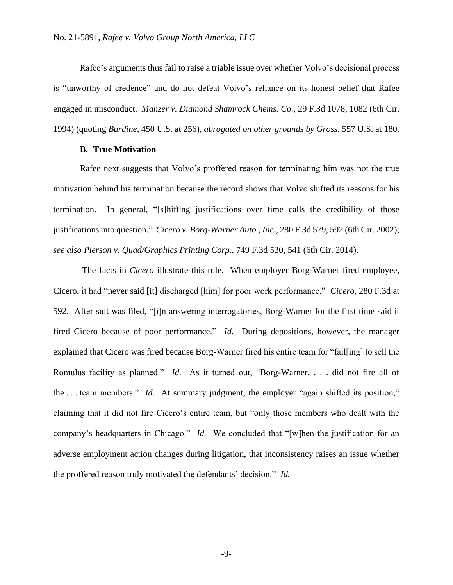Rafee's arguments thus fail to raise a triable issue over whether Volvo's decisional process is "unworthy of credence" and do not defeat Volvo's reliance on its honest belief that Rafee engaged in misconduct. *Manzer v. Diamond Shamrock Chems. Co.*, 29 F.3d 1078, 1082 (6th Cir. 1994) (quoting *Burdine*, 450 U.S. at 256), *abrogated on other grounds by Gross*, 557 U.S. at 180.

#### **B. True Motivation**

Rafee next suggests that Volvo's proffered reason for terminating him was not the true motivation behind his termination because the record shows that Volvo shifted its reasons for his termination. In general, "[s]hifting justifications over time calls the credibility of those justifications into question." *Cicero v. Borg-Warner Auto., Inc.*, 280 F.3d 579, 592 (6th Cir. 2002); *see also Pierson v. Quad/Graphics Printing Corp.*, 749 F.3d 530, 541 (6th Cir. 2014).

The facts in *Cicero* illustrate this rule. When employer Borg-Warner fired employee, Cicero, it had "never said [it] discharged [him] for poor work performance." *Cicero*, 280 F.3d at 592*.* After suit was filed, "[i]n answering interrogatories, Borg-Warner for the first time said it fired Cicero because of poor performance." *Id.* During depositions, however, the manager explained that Cicero was fired because Borg-Warner fired his entire team for "fail[ing] to sell the Romulus facility as planned." *Id.* As it turned out, "Borg-Warner, . . . did not fire all of the . . . team members." *Id.* At summary judgment, the employer "again shifted its position," claiming that it did not fire Cicero's entire team, but "only those members who dealt with the company's headquarters in Chicago." *Id.* We concluded that "[w]hen the justification for an adverse employment action changes during litigation, that inconsistency raises an issue whether the proffered reason truly motivated the defendants' decision." *Id.*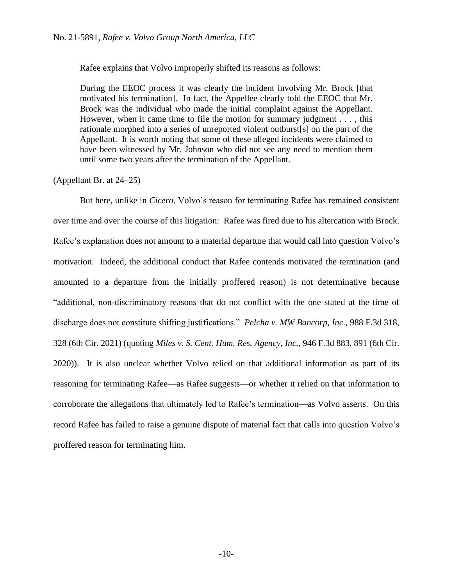Rafee explains that Volvo improperly shifted its reasons as follows:

During the EEOC process it was clearly the incident involving Mr. Brock [that motivated his termination]. In fact, the Appellee clearly told the EEOC that Mr. Brock was the individual who made the initial complaint against the Appellant. However, when it came time to file the motion for summary judgment . . . , this rationale morphed into a series of unreported violent outburst[s] on the part of the Appellant. It is worth noting that some of these alleged incidents were claimed to have been witnessed by Mr. Johnson who did not see any need to mention them until some two years after the termination of the Appellant.

(Appellant Br. at 24–25)

But here, unlike in *Cicero*, Volvo's reason for terminating Rafee has remained consistent over time and over the course of this litigation: Rafee was fired due to his altercation with Brock. Rafee's explanation does not amount to a material departure that would call into question Volvo's motivation. Indeed, the additional conduct that Rafee contends motivated the termination (and amounted to a departure from the initially proffered reason) is not determinative because "additional, non-discriminatory reasons that do not conflict with the one stated at the time of discharge does not constitute shifting justifications." *Pelcha v. MW Bancorp, Inc.*, 988 F.3d 318, 328 (6th Cir. 2021) (quoting *Miles v. S. Cent. Hum. Res. Agency, Inc.*, 946 F.3d 883, 891 (6th Cir. 2020)). It is also unclear whether Volvo relied on that additional information as part of its reasoning for terminating Rafee—as Rafee suggests—or whether it relied on that information to corroborate the allegations that ultimately led to Rafee's termination—as Volvo asserts. On this record Rafee has failed to raise a genuine dispute of material fact that calls into question Volvo's proffered reason for terminating him.